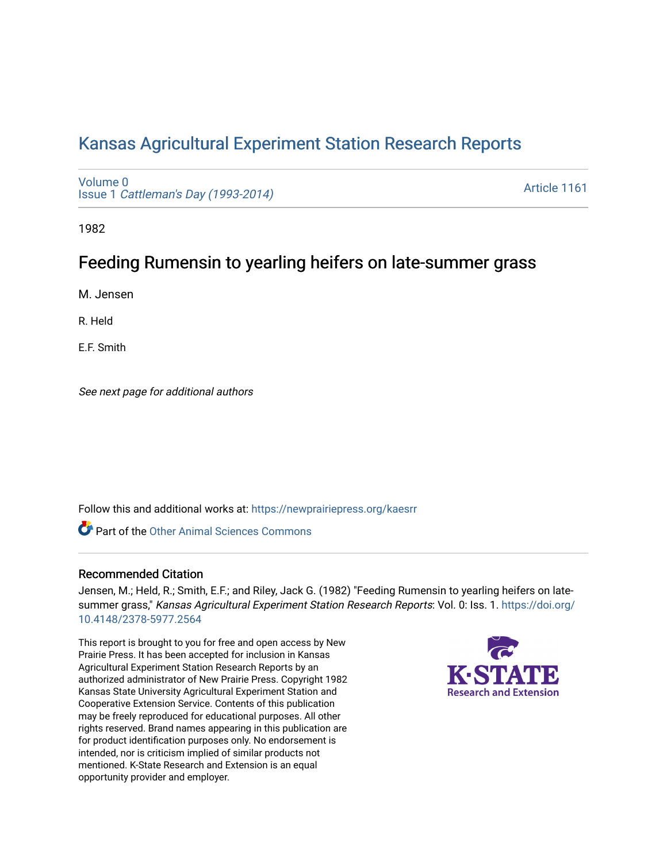# [Kansas Agricultural Experiment Station Research Reports](https://newprairiepress.org/kaesrr)

[Volume 0](https://newprairiepress.org/kaesrr/vol0) Issue 1 [Cattleman's Day \(1993-2014\)](https://newprairiepress.org/kaesrr/vol0/iss1) 

[Article 1161](https://newprairiepress.org/kaesrr/vol0/iss1/1161) 

1982

# Feeding Rumensin to yearling heifers on late-summer grass

M. Jensen

R. Held

E.F. Smith

See next page for additional authors

Follow this and additional works at: [https://newprairiepress.org/kaesrr](https://newprairiepress.org/kaesrr?utm_source=newprairiepress.org%2Fkaesrr%2Fvol0%2Fiss1%2F1161&utm_medium=PDF&utm_campaign=PDFCoverPages) 

**C** Part of the [Other Animal Sciences Commons](http://network.bepress.com/hgg/discipline/82?utm_source=newprairiepress.org%2Fkaesrr%2Fvol0%2Fiss1%2F1161&utm_medium=PDF&utm_campaign=PDFCoverPages)

#### Recommended Citation

Jensen, M.; Held, R.; Smith, E.F.; and Riley, Jack G. (1982) "Feeding Rumensin to yearling heifers on latesummer grass," Kansas Agricultural Experiment Station Research Reports: Vol. 0: Iss. 1. [https://doi.org/](https://doi.org/10.4148/2378-5977.2564) [10.4148/2378-5977.2564](https://doi.org/10.4148/2378-5977.2564)

This report is brought to you for free and open access by New Prairie Press. It has been accepted for inclusion in Kansas Agricultural Experiment Station Research Reports by an authorized administrator of New Prairie Press. Copyright 1982 Kansas State University Agricultural Experiment Station and Cooperative Extension Service. Contents of this publication may be freely reproduced for educational purposes. All other rights reserved. Brand names appearing in this publication are for product identification purposes only. No endorsement is intended, nor is criticism implied of similar products not mentioned. K-State Research and Extension is an equal opportunity provider and employer.

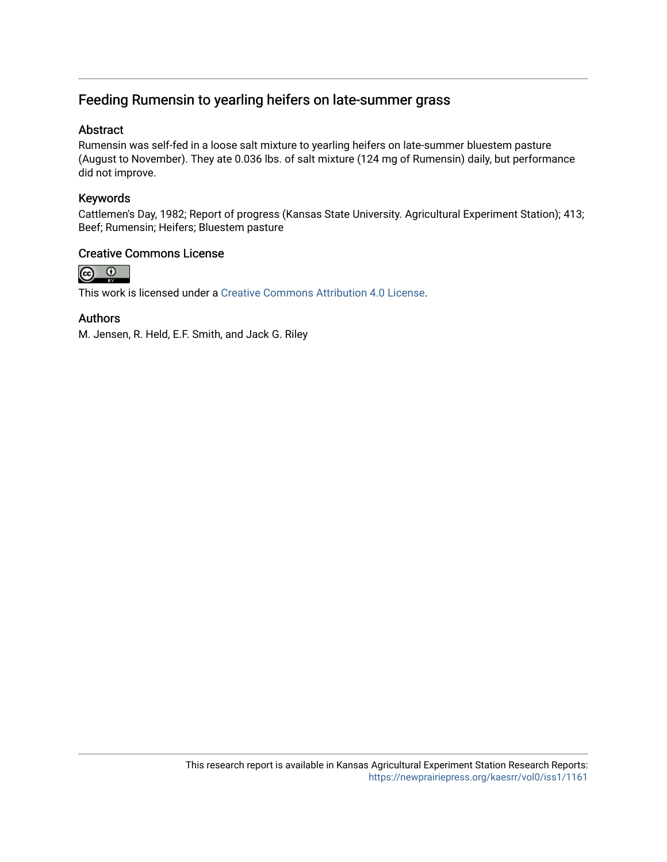## Feeding Rumensin to yearling heifers on late-summer grass

#### Abstract

Rumensin was self-fed in a loose salt mixture to yearling heifers on late-summer bluestem pasture (August to November). They ate 0.036 lbs. of salt mixture (124 mg of Rumensin) daily, but performance did not improve.

#### Keywords

Cattlemen's Day, 1982; Report of progress (Kansas State University. Agricultural Experiment Station); 413; Beef; Rumensin; Heifers; Bluestem pasture

#### Creative Commons License



This work is licensed under a [Creative Commons Attribution 4.0 License](https://creativecommons.org/licenses/by/4.0/).

#### Authors

M. Jensen, R. Held, E.F. Smith, and Jack G. Riley